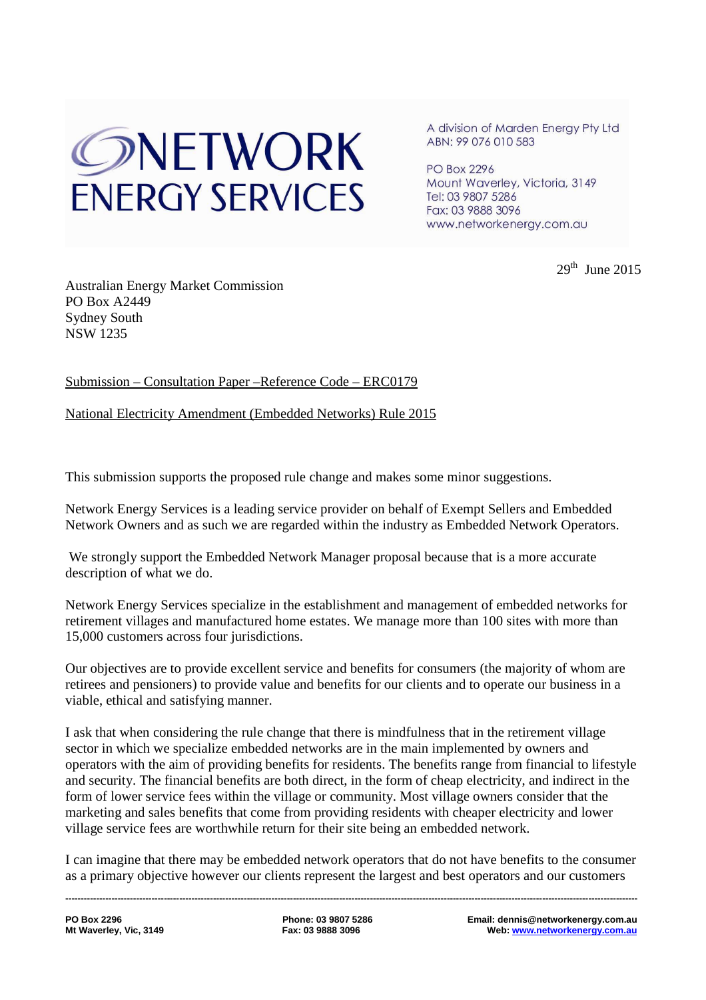# ONETWORK **ENFRGY SERVICES**

A division of Marden Energy Pty Ltd ABN: 99 076 010 583

**PO Box 2296** Mount Waverley, Victoria, 3149 Tel: 03 9807 5286 Fax: 03 9888 3096 www.networkenergy.com.au

 $29<sup>th</sup>$  June 2015

Australian Energy Market Commission PO Box A2449 Sydney South NSW 1235

# Submission – Consultation Paper –Reference Code – ERC0179

National Electricity Amendment (Embedded Networks) Rule 2015

This submission supports the proposed rule change and makes some minor suggestions.

Network Energy Services is a leading service provider on behalf of Exempt Sellers and Embedded Network Owners and as such we are regarded within the industry as Embedded Network Operators.

 We strongly support the Embedded Network Manager proposal because that is a more accurate description of what we do.

Network Energy Services specialize in the establishment and management of embedded networks for retirement villages and manufactured home estates. We manage more than 100 sites with more than 15,000 customers across four jurisdictions.

Our objectives are to provide excellent service and benefits for consumers (the majority of whom are retirees and pensioners) to provide value and benefits for our clients and to operate our business in a viable, ethical and satisfying manner.

I ask that when considering the rule change that there is mindfulness that in the retirement village sector in which we specialize embedded networks are in the main implemented by owners and operators with the aim of providing benefits for residents. The benefits range from financial to lifestyle and security. The financial benefits are both direct, in the form of cheap electricity, and indirect in the form of lower service fees within the village or community. Most village owners consider that the marketing and sales benefits that come from providing residents with cheaper electricity and lower village service fees are worthwhile return for their site being an embedded network.

I can imagine that there may be embedded network operators that do not have benefits to the consumer as a primary objective however our clients represent the largest and best operators and our customers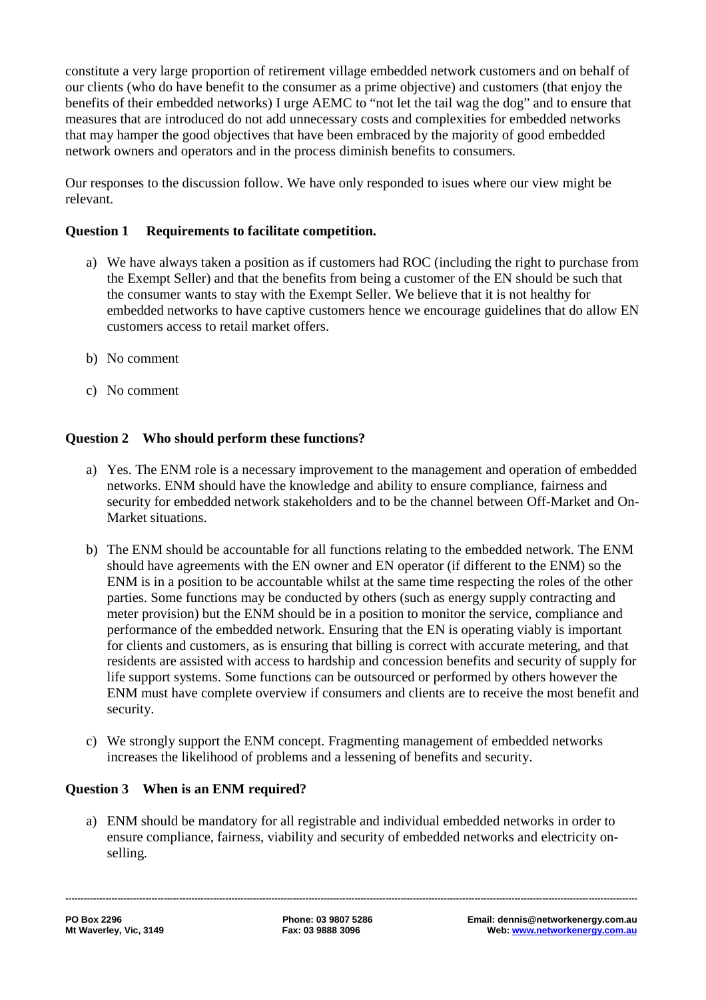constitute a very large proportion of retirement village embedded network customers and on behalf of our clients (who do have benefit to the consumer as a prime objective) and customers (that enjoy the benefits of their embedded networks) I urge AEMC to "not let the tail wag the dog" and to ensure that measures that are introduced do not add unnecessary costs and complexities for embedded networks that may hamper the good objectives that have been embraced by the majority of good embedded network owners and operators and in the process diminish benefits to consumers.

Our responses to the discussion follow. We have only responded to isues where our view might be relevant.

# **Question 1 Requirements to facilitate competition.**

- a) We have always taken a position as if customers had ROC (including the right to purchase from the Exempt Seller) and that the benefits from being a customer of the EN should be such that the consumer wants to stay with the Exempt Seller. We believe that it is not healthy for embedded networks to have captive customers hence we encourage guidelines that do allow EN customers access to retail market offers.
- b) No comment
- c) No comment

# **Question 2 Who should perform these functions?**

- a) Yes. The ENM role is a necessary improvement to the management and operation of embedded networks. ENM should have the knowledge and ability to ensure compliance, fairness and security for embedded network stakeholders and to be the channel between Off-Market and On-Market situations.
- b) The ENM should be accountable for all functions relating to the embedded network. The ENM should have agreements with the EN owner and EN operator (if different to the ENM) so the ENM is in a position to be accountable whilst at the same time respecting the roles of the other parties. Some functions may be conducted by others (such as energy supply contracting and meter provision) but the ENM should be in a position to monitor the service, compliance and performance of the embedded network. Ensuring that the EN is operating viably is important for clients and customers, as is ensuring that billing is correct with accurate metering, and that residents are assisted with access to hardship and concession benefits and security of supply for life support systems. Some functions can be outsourced or performed by others however the ENM must have complete overview if consumers and clients are to receive the most benefit and security.
- c) We strongly support the ENM concept. Fragmenting management of embedded networks increases the likelihood of problems and a lessening of benefits and security.

#### **Question 3 When is an ENM required?**

a) ENM should be mandatory for all registrable and individual embedded networks in order to ensure compliance, fairness, viability and security of embedded networks and electricity onselling.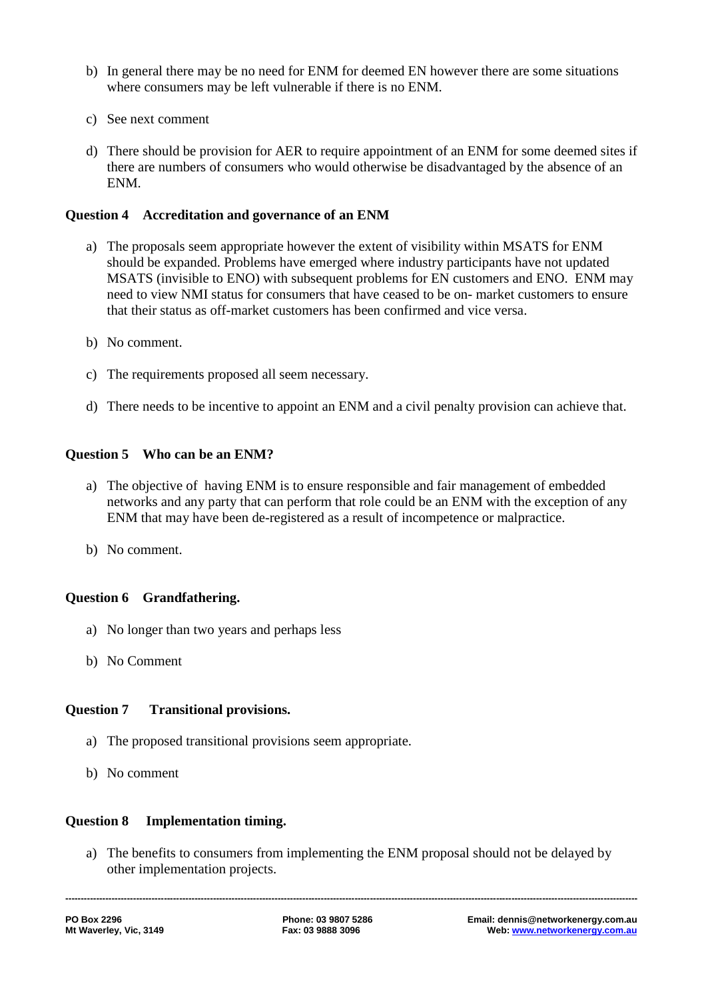- b) In general there may be no need for ENM for deemed EN however there are some situations where consumers may be left vulnerable if there is no ENM.
- c) See next comment
- d) There should be provision for AER to require appointment of an ENM for some deemed sites if there are numbers of consumers who would otherwise be disadvantaged by the absence of an ENM.

# **Question 4 Accreditation and governance of an ENM**

- a) The proposals seem appropriate however the extent of visibility within MSATS for ENM should be expanded. Problems have emerged where industry participants have not updated MSATS (invisible to ENO) with subsequent problems for EN customers and ENO. ENM may need to view NMI status for consumers that have ceased to be on- market customers to ensure that their status as off-market customers has been confirmed and vice versa.
- b) No comment.
- c) The requirements proposed all seem necessary.
- d) There needs to be incentive to appoint an ENM and a civil penalty provision can achieve that.

# **Question 5 Who can be an ENM?**

- a) The objective of having ENM is to ensure responsible and fair management of embedded networks and any party that can perform that role could be an ENM with the exception of any ENM that may have been de-registered as a result of incompetence or malpractice.
- b) No comment.

# **Question 6 Grandfathering.**

- a) No longer than two years and perhaps less
- b) No Comment

#### **Question 7 Transitional provisions.**

- a) The proposed transitional provisions seem appropriate.
- b) No comment

#### **Question 8 Implementation timing.**

a) The benefits to consumers from implementing the ENM proposal should not be delayed by other implementation projects.